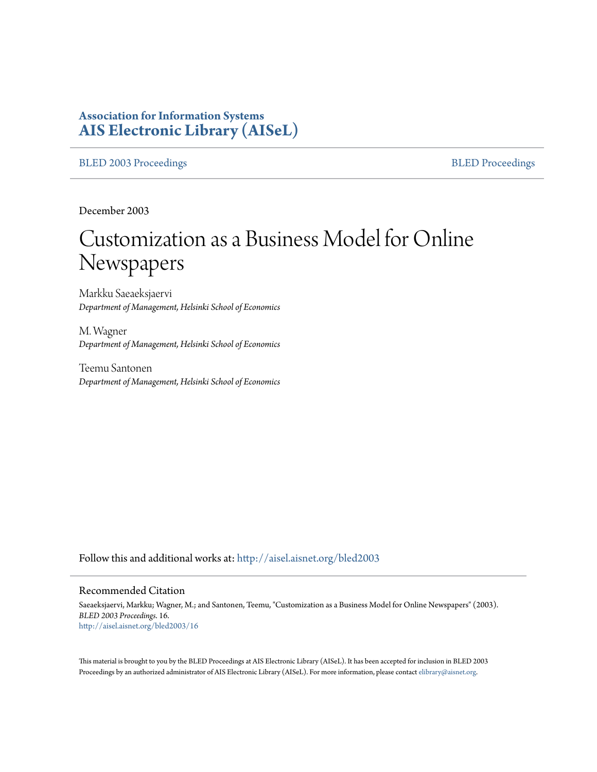# **Association for Information Systems [AIS Electronic Library \(AISeL\)](http://aisel.aisnet.org?utm_source=aisel.aisnet.org%2Fbled2003%2F16&utm_medium=PDF&utm_campaign=PDFCoverPages)**

#### [BLED 2003 Proceedings](http://aisel.aisnet.org/bled2003?utm_source=aisel.aisnet.org%2Fbled2003%2F16&utm_medium=PDF&utm_campaign=PDFCoverPages) and the state of the state of the [BLED Proceedings](http://aisel.aisnet.org/bled?utm_source=aisel.aisnet.org%2Fbled2003%2F16&utm_medium=PDF&utm_campaign=PDFCoverPages) and the BLED Proceedings and the BLED Proceedings and the BLED Proceedings and the BLED Proceedings and the BLED Proceedings and the BLED Proceedings

December 2003

# Customization as a Business Model for Online Newspapers

Markku Saeaeksjaervi *Department of Management, Helsinki School of Economics*

M. Wagner *Department of Management, Helsinki School of Economics*

Teemu Santonen *Department of Management, Helsinki School of Economics*

Follow this and additional works at: [http://aisel.aisnet.org/bled2003](http://aisel.aisnet.org/bled2003?utm_source=aisel.aisnet.org%2Fbled2003%2F16&utm_medium=PDF&utm_campaign=PDFCoverPages)

#### Recommended Citation

Saeaeksjaervi, Markku; Wagner, M.; and Santonen, Teemu, "Customization as a Business Model for Online Newspapers" (2003). *BLED 2003 Proceedings*. 16. [http://aisel.aisnet.org/bled2003/16](http://aisel.aisnet.org/bled2003/16?utm_source=aisel.aisnet.org%2Fbled2003%2F16&utm_medium=PDF&utm_campaign=PDFCoverPages)

This material is brought to you by the BLED Proceedings at AIS Electronic Library (AISeL). It has been accepted for inclusion in BLED 2003 Proceedings by an authorized administrator of AIS Electronic Library (AISeL). For more information, please contact [elibrary@aisnet.org](mailto:elibrary@aisnet.org%3E).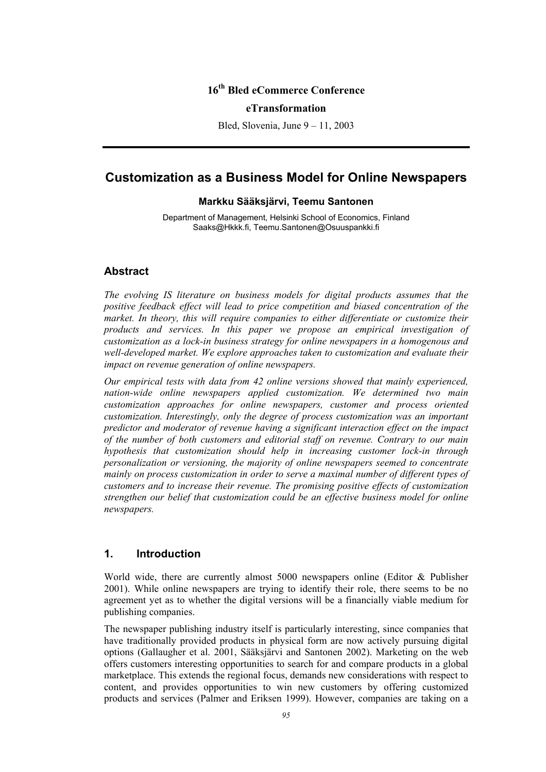## **16th Bled eCommerce Conference**

#### **eTransformation**

Bled, Slovenia, June 9 – 11, 2003

# **Customization as a Business Model for Online Newspapers**

#### **Markku Sääksjärvi, Teemu Santonen**

Department of Management, Helsinki School of Economics, Finland Saaks@Hkkk.fi, Teemu.Santonen@Osuuspankki.fi

#### **Abstract**

*The evolving IS literature on business models for digital products assumes that the positive feedback effect will lead to price competition and biased concentration of the market. In theory, this will require companies to either differentiate or customize their products and services. In this paper we propose an empirical investigation of customization as a lock-in business strategy for online newspapers in a homogenous and well-developed market. We explore approaches taken to customization and evaluate their impact on revenue generation of online newspapers.* 

*Our empirical tests with data from 42 online versions showed that mainly experienced, nation-wide online newspapers applied customization. We determined two main customization approaches for online newspapers, customer and process oriented customization. Interestingly, only the degree of process customization was an important predictor and moderator of revenue having a significant interaction effect on the impact of the number of both customers and editorial staff on revenue. Contrary to our main hypothesis that customization should help in increasing customer lock-in through personalization or versioning, the majority of online newspapers seemed to concentrate mainly on process customization in order to serve a maximal number of different types of customers and to increase their revenue. The promising positive effects of customization strengthen our belief that customization could be an effective business model for online newspapers.* 

#### **1. Introduction**

World wide, there are currently almost 5000 newspapers online (Editor & Publisher 2001). While online newspapers are trying to identify their role, there seems to be no agreement yet as to whether the digital versions will be a financially viable medium for publishing companies.

The newspaper publishing industry itself is particularly interesting, since companies that have traditionally provided products in physical form are now actively pursuing digital options (Gallaugher et al. 2001, Sääksjärvi and Santonen 2002). Marketing on the web offers customers interesting opportunities to search for and compare products in a global marketplace. This extends the regional focus, demands new considerations with respect to content, and provides opportunities to win new customers by offering customized products and services (Palmer and Eriksen 1999). However, companies are taking on a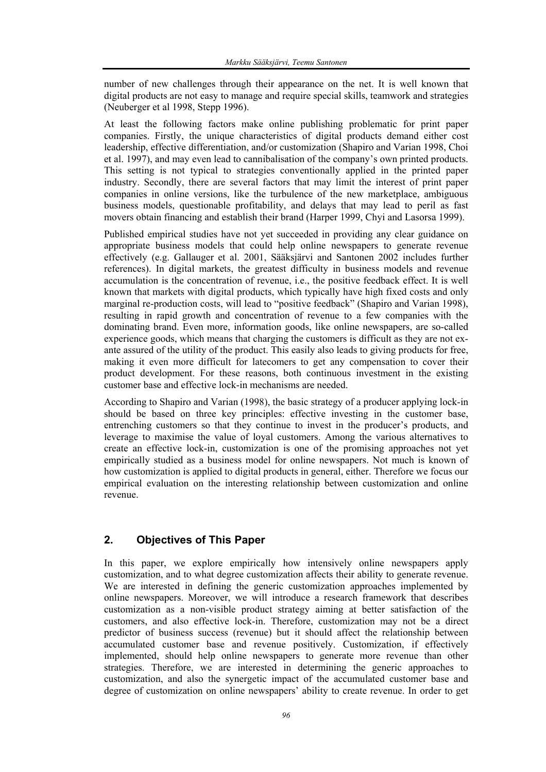number of new challenges through their appearance on the net. It is well known that digital products are not easy to manage and require special skills, teamwork and strategies (Neuberger et al 1998, Stepp 1996).

At least the following factors make online publishing problematic for print paper companies. Firstly, the unique characteristics of digital products demand either cost leadership, effective differentiation, and/or customization (Shapiro and Varian 1998, Choi et al. 1997), and may even lead to cannibalisation of the company's own printed products. This setting is not typical to strategies conventionally applied in the printed paper industry. Secondly, there are several factors that may limit the interest of print paper companies in online versions, like the turbulence of the new marketplace, ambiguous business models, questionable profitability, and delays that may lead to peril as fast movers obtain financing and establish their brand (Harper 1999, Chyi and Lasorsa 1999).

Published empirical studies have not yet succeeded in providing any clear guidance on appropriate business models that could help online newspapers to generate revenue effectively (e.g. Gallauger et al. 2001, Sääksjärvi and Santonen 2002 includes further references). In digital markets, the greatest difficulty in business models and revenue accumulation is the concentration of revenue, i.e., the positive feedback effect. It is well known that markets with digital products, which typically have high fixed costs and only marginal re-production costs, will lead to "positive feedback" (Shapiro and Varian 1998), resulting in rapid growth and concentration of revenue to a few companies with the dominating brand. Even more, information goods, like online newspapers, are so-called experience goods, which means that charging the customers is difficult as they are not exante assured of the utility of the product. This easily also leads to giving products for free, making it even more difficult for latecomers to get any compensation to cover their product development. For these reasons, both continuous investment in the existing customer base and effective lock-in mechanisms are needed.

According to Shapiro and Varian (1998), the basic strategy of a producer applying lock-in should be based on three key principles: effective investing in the customer base, entrenching customers so that they continue to invest in the producer's products, and leverage to maximise the value of loyal customers. Among the various alternatives to create an effective lock-in, customization is one of the promising approaches not yet empirically studied as a business model for online newspapers. Not much is known of how customization is applied to digital products in general, either. Therefore we focus our empirical evaluation on the interesting relationship between customization and online revenue.

# **2. Objectives of This Paper**

In this paper, we explore empirically how intensively online newspapers apply customization, and to what degree customization affects their ability to generate revenue. We are interested in defining the generic customization approaches implemented by online newspapers. Moreover, we will introduce a research framework that describes customization as a non-visible product strategy aiming at better satisfaction of the customers, and also effective lock-in. Therefore, customization may not be a direct predictor of business success (revenue) but it should affect the relationship between accumulated customer base and revenue positively. Customization, if effectively implemented, should help online newspapers to generate more revenue than other strategies. Therefore, we are interested in determining the generic approaches to customization, and also the synergetic impact of the accumulated customer base and degree of customization on online newspapers' ability to create revenue. In order to get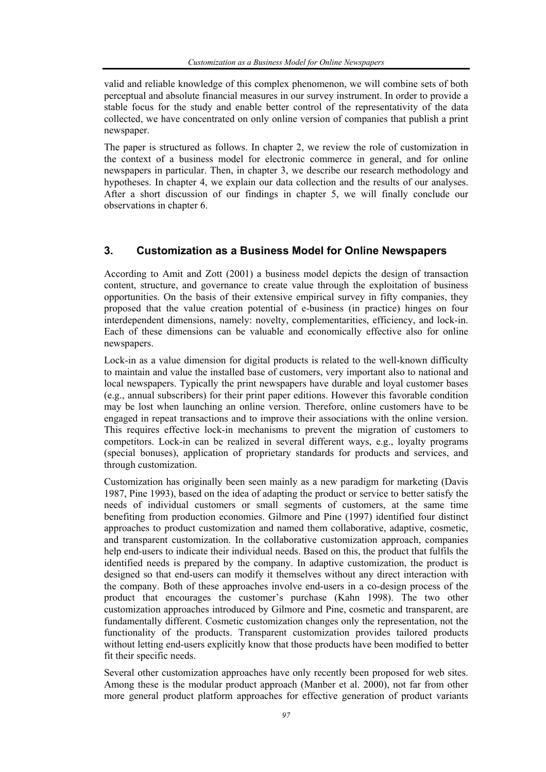valid and reliable knowledge of this complex phenomenon, we will combine sets of both perceptual and absolute financial measures in our survey instrument. In order to provide a stable focus for the study and enable better control of the representativity of the data collected, we have concentrated on only online version of companies that publish a print newspaper.

The paper is structured as follows. In chapter 2, we review the role of customization in the context of a business model for electronic commerce in general, and for online newspapers in particular. Then, in chapter 3, we describe our research methodology and hypotheses. In chapter 4, we explain our data collection and the results of our analyses. After a short discussion of our findings in chapter 5, we will finally conclude our observations in chapter 6.

## **3. Customization as a Business Model for Online Newspapers**

According to Amit and Zott (2001) a business model depicts the design of transaction content, structure, and governance to create value through the exploitation of business opportunities. On the basis of their extensive empirical survey in fifty companies, they proposed that the value creation potential of e-business (in practice) hinges on four interdependent dimensions, namely: novelty, complementarities, efficiency, and lock-in. Each of these dimensions can be valuable and economically effective also for online newspapers.

Lock-in as a value dimension for digital products is related to the well-known difficulty to maintain and value the installed base of customers, very important also to national and local newspapers. Typically the print newspapers have durable and loyal customer bases (e.g., annual subscribers) for their print paper editions. However this favorable condition may be lost when launching an online version. Therefore, online customers have to be engaged in repeat transactions and to improve their associations with the online version. This requires effective lock-in mechanisms to prevent the migration of customers to competitors. Lock-in can be realized in several different ways, e.g., loyalty programs (special bonuses), application of proprietary standards for products and services, and through customization.

Customization has originally been seen mainly as a new paradigm for marketing (Davis 1987, Pine 1993), based on the idea of adapting the product or service to better satisfy the needs of individual customers or small segments of customers, at the same time benefiting from production economies. Gilmore and Pine (1997) identified four distinct approaches to product customization and named them collaborative, adaptive, cosmetic, and transparent customization. In the collaborative customization approach, companies help end-users to indicate their individual needs. Based on this, the product that fulfils the identified needs is prepared by the company. In adaptive customization, the product is designed so that end-users can modify it themselves without any direct interaction with the company. Both of these approaches involve end-users in a co-design process of the product that encourages the customer's purchase (Kahn 1998). The two other customization approaches introduced by Gilmore and Pine, cosmetic and transparent, are fundamentally different. Cosmetic customization changes only the representation, not the functionality of the products. Transparent customization provides tailored products without letting end-users explicitly know that those products have been modified to better fit their specific needs.

Several other customization approaches have only recently been proposed for web sites. Among these is the modular product approach (Manber et al. 2000), not far from other more general product platform approaches for effective generation of product variants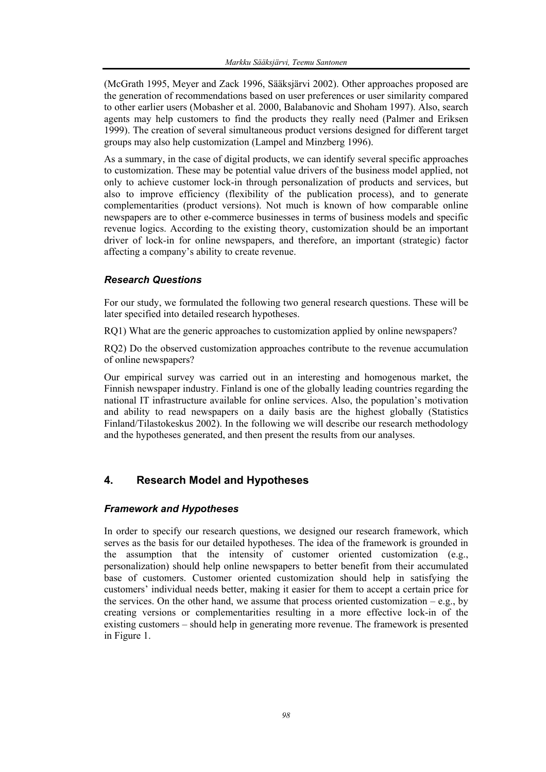(McGrath 1995, Meyer and Zack 1996, Sääksjärvi 2002). Other approaches proposed are the generation of recommendations based on user preferences or user similarity compared to other earlier users (Mobasher et al. 2000, Balabanovic and Shoham 1997). Also, search agents may help customers to find the products they really need (Palmer and Eriksen 1999). The creation of several simultaneous product versions designed for different target groups may also help customization (Lampel and Minzberg 1996).

As a summary, in the case of digital products, we can identify several specific approaches to customization. These may be potential value drivers of the business model applied, not only to achieve customer lock-in through personalization of products and services, but also to improve efficiency (flexibility of the publication process), and to generate complementarities (product versions). Not much is known of how comparable online newspapers are to other e-commerce businesses in terms of business models and specific revenue logics. According to the existing theory, customization should be an important driver of lock-in for online newspapers, and therefore, an important (strategic) factor affecting a company's ability to create revenue.

## *Research Questions*

For our study, we formulated the following two general research questions. These will be later specified into detailed research hypotheses.

RQ1) What are the generic approaches to customization applied by online newspapers?

RQ2) Do the observed customization approaches contribute to the revenue accumulation of online newspapers?

Our empirical survey was carried out in an interesting and homogenous market, the Finnish newspaper industry. Finland is one of the globally leading countries regarding the national IT infrastructure available for online services. Also, the population's motivation and ability to read newspapers on a daily basis are the highest globally (Statistics Finland/Tilastokeskus 2002). In the following we will describe our research methodology and the hypotheses generated, and then present the results from our analyses.

## **4. Research Model and Hypotheses**

#### *Framework and Hypotheses*

In order to specify our research questions, we designed our research framework, which serves as the basis for our detailed hypotheses. The idea of the framework is grounded in the assumption that the intensity of customer oriented customization (e.g., personalization) should help online newspapers to better benefit from their accumulated base of customers. Customer oriented customization should help in satisfying the customers' individual needs better, making it easier for them to accept a certain price for the services. On the other hand, we assume that process oriented customization – e.g., by creating versions or complementarities resulting in a more effective lock-in of the existing customers – should help in generating more revenue. The framework is presented in Figure 1.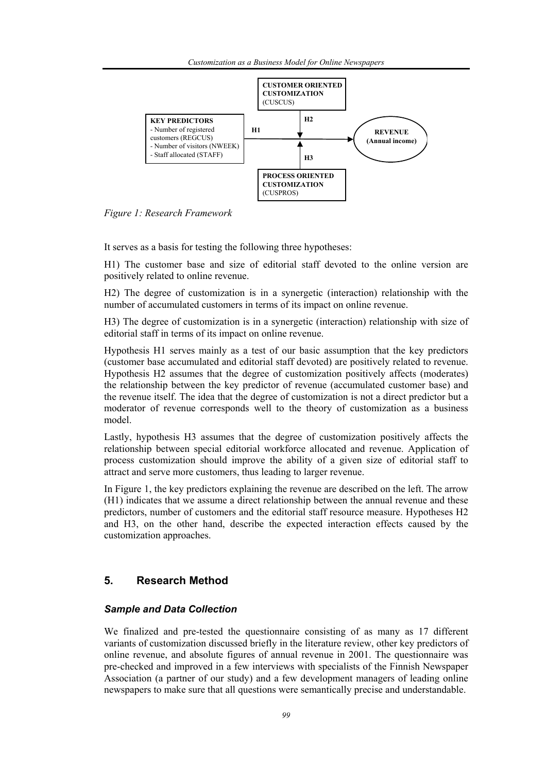

*Figure 1: Research Framework* 

It serves as a basis for testing the following three hypotheses:

H1) The customer base and size of editorial staff devoted to the online version are positively related to online revenue.

H2) The degree of customization is in a synergetic (interaction) relationship with the number of accumulated customers in terms of its impact on online revenue.

H3) The degree of customization is in a synergetic (interaction) relationship with size of editorial staff in terms of its impact on online revenue.

Hypothesis H1 serves mainly as a test of our basic assumption that the key predictors (customer base accumulated and editorial staff devoted) are positively related to revenue. Hypothesis H2 assumes that the degree of customization positively affects (moderates) the relationship between the key predictor of revenue (accumulated customer base) and the revenue itself. The idea that the degree of customization is not a direct predictor but a moderator of revenue corresponds well to the theory of customization as a business model.

Lastly, hypothesis H3 assumes that the degree of customization positively affects the relationship between special editorial workforce allocated and revenue. Application of process customization should improve the ability of a given size of editorial staff to attract and serve more customers, thus leading to larger revenue.

In Figure 1, the key predictors explaining the revenue are described on the left. The arrow (H1) indicates that we assume a direct relationship between the annual revenue and these predictors, number of customers and the editorial staff resource measure. Hypotheses H2 and H3, on the other hand, describe the expected interaction effects caused by the customization approaches.

#### **5. Research Method**

#### *Sample and Data Collection*

We finalized and pre-tested the questionnaire consisting of as many as 17 different variants of customization discussed briefly in the literature review, other key predictors of online revenue, and absolute figures of annual revenue in 2001. The questionnaire was pre-checked and improved in a few interviews with specialists of the Finnish Newspaper Association (a partner of our study) and a few development managers of leading online newspapers to make sure that all questions were semantically precise and understandable.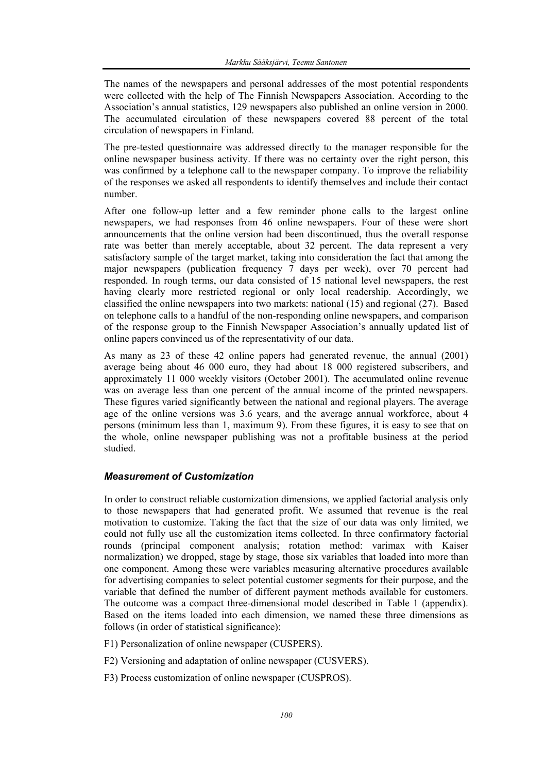The names of the newspapers and personal addresses of the most potential respondents were collected with the help of The Finnish Newspapers Association. According to the Association's annual statistics, 129 newspapers also published an online version in 2000. The accumulated circulation of these newspapers covered 88 percent of the total circulation of newspapers in Finland.

The pre-tested questionnaire was addressed directly to the manager responsible for the online newspaper business activity. If there was no certainty over the right person, this was confirmed by a telephone call to the newspaper company. To improve the reliability of the responses we asked all respondents to identify themselves and include their contact number.

After one follow-up letter and a few reminder phone calls to the largest online newspapers, we had responses from 46 online newspapers. Four of these were short announcements that the online version had been discontinued, thus the overall response rate was better than merely acceptable, about 32 percent. The data represent a very satisfactory sample of the target market, taking into consideration the fact that among the major newspapers (publication frequency 7 days per week), over 70 percent had responded. In rough terms, our data consisted of 15 national level newspapers, the rest having clearly more restricted regional or only local readership. Accordingly, we classified the online newspapers into two markets: national (15) and regional (27). Based on telephone calls to a handful of the non-responding online newspapers, and comparison of the response group to the Finnish Newspaper Association's annually updated list of online papers convinced us of the representativity of our data.

As many as 23 of these 42 online papers had generated revenue, the annual (2001) average being about 46 000 euro, they had about 18 000 registered subscribers, and approximately 11 000 weekly visitors (October 2001). The accumulated online revenue was on average less than one percent of the annual income of the printed newspapers. These figures varied significantly between the national and regional players. The average age of the online versions was 3.6 years, and the average annual workforce, about 4 persons (minimum less than 1, maximum 9). From these figures, it is easy to see that on the whole, online newspaper publishing was not a profitable business at the period studied.

#### *Measurement of Customization*

In order to construct reliable customization dimensions, we applied factorial analysis only to those newspapers that had generated profit. We assumed that revenue is the real motivation to customize. Taking the fact that the size of our data was only limited, we could not fully use all the customization items collected. In three confirmatory factorial rounds (principal component analysis; rotation method: varimax with Kaiser normalization) we dropped, stage by stage, those six variables that loaded into more than one component. Among these were variables measuring alternative procedures available for advertising companies to select potential customer segments for their purpose, and the variable that defined the number of different payment methods available for customers. The outcome was a compact three-dimensional model described in Table 1 (appendix). Based on the items loaded into each dimension, we named these three dimensions as follows (in order of statistical significance):

- F1) Personalization of online newspaper (CUSPERS).
- F2) Versioning and adaptation of online newspaper (CUSVERS).
- F3) Process customization of online newspaper (CUSPROS).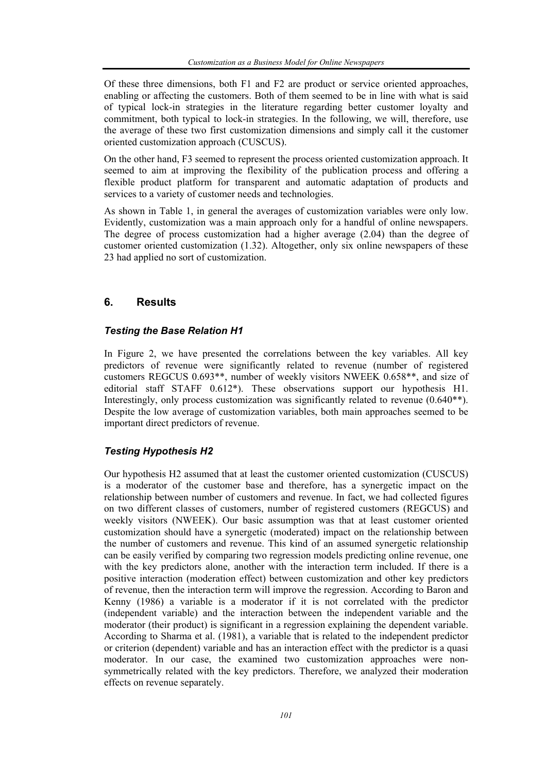Of these three dimensions, both F1 and F2 are product or service oriented approaches, enabling or affecting the customers. Both of them seemed to be in line with what is said of typical lock-in strategies in the literature regarding better customer loyalty and commitment, both typical to lock-in strategies. In the following, we will, therefore, use the average of these two first customization dimensions and simply call it the customer oriented customization approach (CUSCUS).

On the other hand, F3 seemed to represent the process oriented customization approach. It seemed to aim at improving the flexibility of the publication process and offering a flexible product platform for transparent and automatic adaptation of products and services to a variety of customer needs and technologies.

As shown in Table 1, in general the averages of customization variables were only low. Evidently, customization was a main approach only for a handful of online newspapers. The degree of process customization had a higher average (2.04) than the degree of customer oriented customization (1.32). Altogether, only six online newspapers of these 23 had applied no sort of customization.

## **6. Results**

#### *Testing the Base Relation H1*

In Figure 2, we have presented the correlations between the key variables. All key predictors of revenue were significantly related to revenue (number of registered customers REGCUS 0.693\*\*, number of weekly visitors NWEEK 0.658\*\*, and size of editorial staff STAFF 0.612\*). These observations support our hypothesis H1. Interestingly, only process customization was significantly related to revenue (0.640\*\*). Despite the low average of customization variables, both main approaches seemed to be important direct predictors of revenue.

#### *Testing Hypothesis H2*

Our hypothesis H2 assumed that at least the customer oriented customization (CUSCUS) is a moderator of the customer base and therefore, has a synergetic impact on the relationship between number of customers and revenue. In fact, we had collected figures on two different classes of customers, number of registered customers (REGCUS) and weekly visitors (NWEEK). Our basic assumption was that at least customer oriented customization should have a synergetic (moderated) impact on the relationship between the number of customers and revenue. This kind of an assumed synergetic relationship can be easily verified by comparing two regression models predicting online revenue, one with the key predictors alone, another with the interaction term included. If there is a positive interaction (moderation effect) between customization and other key predictors of revenue, then the interaction term will improve the regression. According to Baron and Kenny (1986) a variable is a moderator if it is not correlated with the predictor (independent variable) and the interaction between the independent variable and the moderator (their product) is significant in a regression explaining the dependent variable. According to Sharma et al. (1981), a variable that is related to the independent predictor or criterion (dependent) variable and has an interaction effect with the predictor is a quasi moderator. In our case, the examined two customization approaches were nonsymmetrically related with the key predictors. Therefore, we analyzed their moderation effects on revenue separately.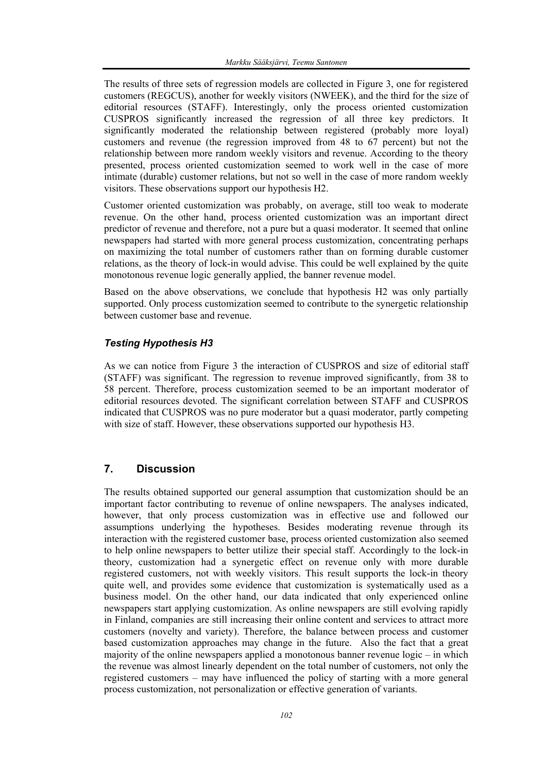The results of three sets of regression models are collected in Figure 3, one for registered customers (REGCUS), another for weekly visitors (NWEEK), and the third for the size of editorial resources (STAFF). Interestingly, only the process oriented customization CUSPROS significantly increased the regression of all three key predictors. It significantly moderated the relationship between registered (probably more loyal) customers and revenue (the regression improved from 48 to 67 percent) but not the relationship between more random weekly visitors and revenue. According to the theory presented, process oriented customization seemed to work well in the case of more intimate (durable) customer relations, but not so well in the case of more random weekly visitors. These observations support our hypothesis H2.

Customer oriented customization was probably, on average, still too weak to moderate revenue. On the other hand, process oriented customization was an important direct predictor of revenue and therefore, not a pure but a quasi moderator. It seemed that online newspapers had started with more general process customization, concentrating perhaps on maximizing the total number of customers rather than on forming durable customer relations, as the theory of lock-in would advise. This could be well explained by the quite monotonous revenue logic generally applied, the banner revenue model.

Based on the above observations, we conclude that hypothesis H2 was only partially supported. Only process customization seemed to contribute to the synergetic relationship between customer base and revenue.

## *Testing Hypothesis H3*

As we can notice from Figure 3 the interaction of CUSPROS and size of editorial staff (STAFF) was significant. The regression to revenue improved significantly, from 38 to 58 percent. Therefore, process customization seemed to be an important moderator of editorial resources devoted. The significant correlation between STAFF and CUSPROS indicated that CUSPROS was no pure moderator but a quasi moderator, partly competing with size of staff. However, these observations supported our hypothesis H3.

## **7. Discussion**

The results obtained supported our general assumption that customization should be an important factor contributing to revenue of online newspapers. The analyses indicated, however, that only process customization was in effective use and followed our assumptions underlying the hypotheses. Besides moderating revenue through its interaction with the registered customer base, process oriented customization also seemed to help online newspapers to better utilize their special staff. Accordingly to the lock-in theory, customization had a synergetic effect on revenue only with more durable registered customers, not with weekly visitors. This result supports the lock-in theory quite well, and provides some evidence that customization is systematically used as a business model. On the other hand, our data indicated that only experienced online newspapers start applying customization. As online newspapers are still evolving rapidly in Finland, companies are still increasing their online content and services to attract more customers (novelty and variety). Therefore, the balance between process and customer based customization approaches may change in the future. Also the fact that a great majority of the online newspapers applied a monotonous banner revenue logic – in which the revenue was almost linearly dependent on the total number of customers, not only the registered customers – may have influenced the policy of starting with a more general process customization, not personalization or effective generation of variants.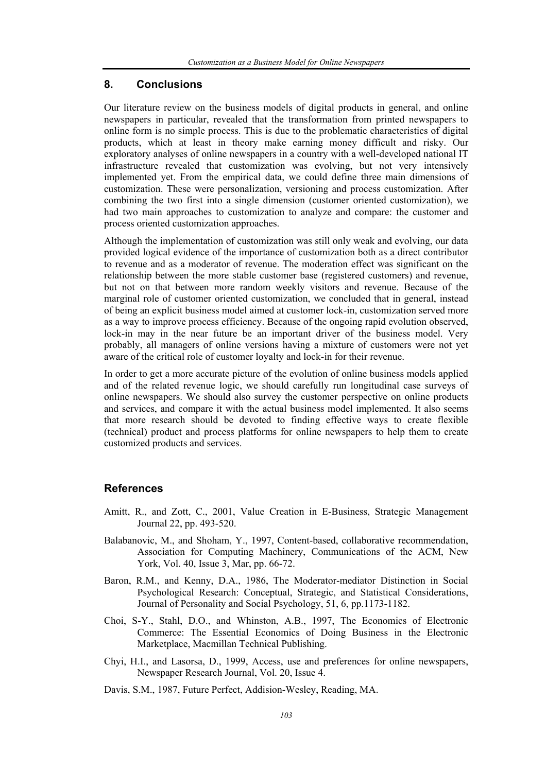#### **8. Conclusions**

Our literature review on the business models of digital products in general, and online newspapers in particular, revealed that the transformation from printed newspapers to online form is no simple process. This is due to the problematic characteristics of digital products, which at least in theory make earning money difficult and risky. Our exploratory analyses of online newspapers in a country with a well-developed national IT infrastructure revealed that customization was evolving, but not very intensively implemented yet. From the empirical data, we could define three main dimensions of customization. These were personalization, versioning and process customization. After combining the two first into a single dimension (customer oriented customization), we had two main approaches to customization to analyze and compare: the customer and process oriented customization approaches.

Although the implementation of customization was still only weak and evolving, our data provided logical evidence of the importance of customization both as a direct contributor to revenue and as a moderator of revenue. The moderation effect was significant on the relationship between the more stable customer base (registered customers) and revenue, but not on that between more random weekly visitors and revenue. Because of the marginal role of customer oriented customization, we concluded that in general, instead of being an explicit business model aimed at customer lock-in, customization served more as a way to improve process efficiency. Because of the ongoing rapid evolution observed, lock-in may in the near future be an important driver of the business model. Very probably, all managers of online versions having a mixture of customers were not yet aware of the critical role of customer loyalty and lock-in for their revenue.

In order to get a more accurate picture of the evolution of online business models applied and of the related revenue logic, we should carefully run longitudinal case surveys of online newspapers. We should also survey the customer perspective on online products and services, and compare it with the actual business model implemented. It also seems that more research should be devoted to finding effective ways to create flexible (technical) product and process platforms for online newspapers to help them to create customized products and services.

#### **References**

- Amitt, R., and Zott, C., 2001, Value Creation in E-Business, Strategic Management Journal 22, pp. 493-520.
- Balabanovic, M., and Shoham, Y., 1997, Content-based, collaborative recommendation, Association for Computing Machinery, Communications of the ACM, New York, Vol. 40, Issue 3, Mar, pp. 66-72.
- Baron, R.M., and Kenny, D.A., 1986, The Moderator-mediator Distinction in Social Psychological Research: Conceptual, Strategic, and Statistical Considerations, Journal of Personality and Social Psychology, 51, 6, pp.1173-1182.
- Choi, S-Y., Stahl, D.O., and Whinston, A.B., 1997, The Economics of Electronic Commerce: The Essential Economics of Doing Business in the Electronic Marketplace, Macmillan Technical Publishing.
- Chyi, H.I., and Lasorsa, D., 1999, Access, use and preferences for online newspapers, Newspaper Research Journal, Vol. 20, Issue 4.
- Davis, S.M., 1987, Future Perfect, Addision-Wesley, Reading, MA.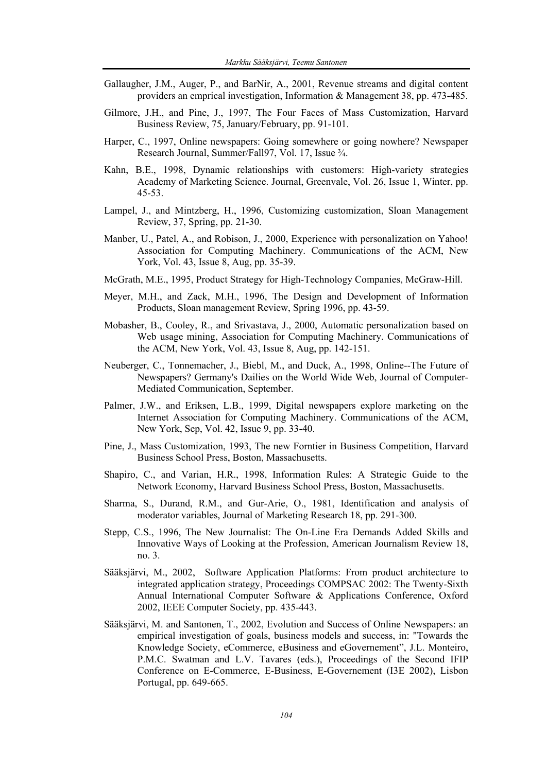- Gallaugher, J.M., Auger, P., and BarNir, A., 2001, Revenue streams and digital content providers an emprical investigation, Information & Management 38, pp. 473-485.
- Gilmore, J.H., and Pine, J., 1997, The Four Faces of Mass Customization, Harvard Business Review, 75, January/February, pp. 91-101.
- Harper, C., 1997, Online newspapers: Going somewhere or going nowhere? Newspaper Research Journal, Summer/Fall97, Vol. 17, Issue ¾.
- Kahn, B.E., 1998, Dynamic relationships with customers: High-variety strategies Academy of Marketing Science. Journal, Greenvale, Vol. 26, Issue 1, Winter, pp. 45-53.
- Lampel, J., and Mintzberg, H., 1996, Customizing customization, Sloan Management Review, 37, Spring, pp. 21-30.
- Manber, U., Patel, A., and Robison, J., 2000, Experience with personalization on Yahoo! Association for Computing Machinery. Communications of the ACM, New York, Vol. 43, Issue 8, Aug, pp. 35-39.
- McGrath, M.E., 1995, Product Strategy for High-Technology Companies, McGraw-Hill.
- Meyer, M.H., and Zack, M.H., 1996, The Design and Development of Information Products, Sloan management Review, Spring 1996, pp. 43-59.
- Mobasher, B., Cooley, R., and Srivastava, J., 2000, Automatic personalization based on Web usage mining, Association for Computing Machinery. Communications of the ACM, New York, Vol. 43, Issue 8, Aug, pp. 142-151.
- Neuberger, C., Tonnemacher, J., Biebl, M., and Duck, A., 1998, Online--The Future of Newspapers? Germany's Dailies on the World Wide Web, Journal of Computer-Mediated Communication, September.
- Palmer, J.W., and Eriksen, L.B., 1999, Digital newspapers explore marketing on the Internet Association for Computing Machinery. Communications of the ACM, New York, Sep, Vol. 42, Issue 9, pp. 33-40.
- Pine, J., Mass Customization, 1993, The new Forntier in Business Competition, Harvard Business School Press, Boston, Massachusetts.
- Shapiro, C., and Varian, H.R., 1998, Information Rules: A Strategic Guide to the Network Economy, Harvard Business School Press, Boston, Massachusetts.
- Sharma, S., Durand, R.M., and Gur-Arie, O., 1981, Identification and analysis of moderator variables, Journal of Marketing Research 18, pp. 291-300.
- Stepp, C.S., 1996, The New Journalist: The On-Line Era Demands Added Skills and Innovative Ways of Looking at the Profession, American Journalism Review 18, no. 3.
- Sääksjärvi, M., 2002, Software Application Platforms: From product architecture to integrated application strategy, Proceedings COMPSAC 2002: The Twenty-Sixth Annual International Computer Software & Applications Conference, Oxford 2002, IEEE Computer Society, pp. 435-443.
- Sääksjärvi, M. and Santonen, T., 2002, Evolution and Success of Online Newspapers: an empirical investigation of goals, business models and success, in: "Towards the Knowledge Society, eCommerce, eBusiness and eGovernement", J.L. Monteiro, P.M.C. Swatman and L.V. Tavares (eds.), Proceedings of the Second IFIP Conference on E-Commerce, E-Business, E-Governement (I3E 2002), Lisbon Portugal, pp. 649-665.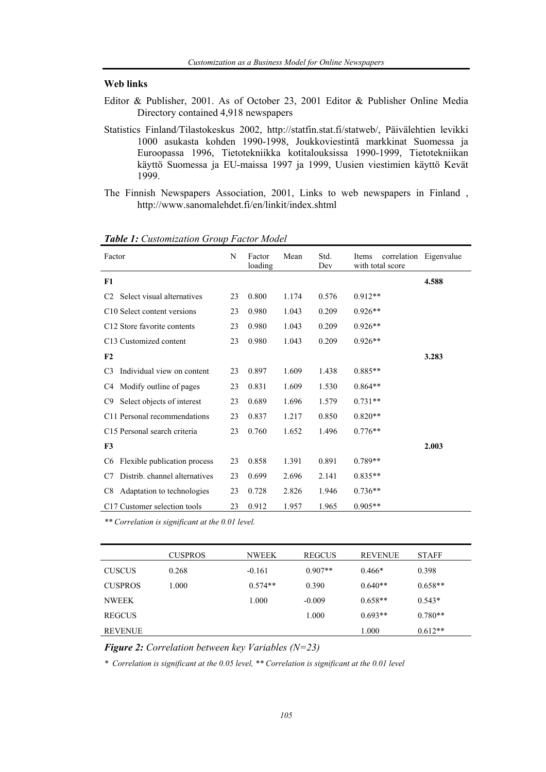#### **Web links**

- Editor & Publisher, 2001. As of October 23, 2001 Editor & Publisher Online Media Directory contained 4,918 newspapers
- Statistics Finland/Tilastokeskus 2002, http://statfin.stat.fi/statweb/, Päivälehtien levikki 1000 asukasta kohden 1990-1998, Joukkoviestintä markkinat Suomessa ja Euroopassa 1996, Tietotekniikka kotitalouksissa 1990-1999, Tietotekniikan käyttö Suomessa ja EU-maissa 1997 ja 1999, Uusien viestimien käyttö Kevät 1999.
- The Finnish Newspapers Association, 2001, Links to web newspapers in Finland , http://www.sanomalehdet.fi/en/linkit/index.shtml

| Factor                                         | N  | Factor<br>loading | Mean  | Std.<br>Dev | Items<br>with total score | correlation Eigenvalue |
|------------------------------------------------|----|-------------------|-------|-------------|---------------------------|------------------------|
| F1                                             |    |                   |       |             |                           | 4.588                  |
| Select visual alternatives<br>C <sub>2</sub>   | 23 | 0.800             | 1.174 | 0.576       | $0.912**$                 |                        |
| C <sub>10</sub> Select content versions        | 23 | 0.980             | 1.043 | 0.209       | $0.926**$                 |                        |
| C12 Store favorite contents                    | 23 | 0.980             | 1.043 | 0.209       | $0.926**$                 |                        |
| C13 Customized content                         | 23 | 0.980             | 1.043 | 0.209       | $0.926**$                 |                        |
| F2                                             |    |                   |       |             |                           | 3.283                  |
| Individual view on content<br>C <sub>3</sub>   | 23 | 0.897             | 1.609 | 1.438       | $0.885**$                 |                        |
| Modify outline of pages<br>C4                  | 23 | 0.831             | 1.609 | 1.530       | $0.864**$                 |                        |
| Select objects of interest<br>C9               | 23 | 0.689             | 1.696 | 1.579       | $0.731**$                 |                        |
| C11 Personal recommendations                   | 23 | 0.837             | 1.217 | 0.850       | $0.820**$                 |                        |
| C15 Personal search criteria                   | 23 | 0.760             | 1.652 | 1.496       | $0.776**$                 |                        |
| F3                                             |    |                   |       |             |                           | 2.003                  |
| Flexible publication process<br>C <sub>6</sub> | 23 | 0.858             | 1.391 | 0.891       | $0.789**$                 |                        |
| Distrib. channel alternatives<br>C7            | 23 | 0.699             | 2.696 | 2.141       | $0.835**$                 |                        |
| Adaptation to technologies<br>C8               | 23 | 0.728             | 2.826 | 1.946       | $0.736**$                 |                        |
| C17 Customer selection tools                   | 23 | 0.912             | 1.957 | 1.965       | $0.905**$                 |                        |

*Table 1: Customization Group Factor Model* 

*\*\* Correlation is significant at the 0.01 level.* 

|                | <b>CUSPROS</b> | <b>NWEEK</b> | <b>REGCUS</b> | <b>REVENUE</b> | <b>STAFF</b> |
|----------------|----------------|--------------|---------------|----------------|--------------|
| <b>CUSCUS</b>  | 0.268          | $-0.161$     | $0.907**$     | $0.466*$       | 0.398        |
| <b>CUSPROS</b> | 1.000          | $0.574**$    | 0.390         | $0.640**$      | $0.658**$    |
| <b>NWEEK</b>   |                | 1.000        | $-0.009$      | $0.658**$      | $0.543*$     |
| <b>REGCUS</b>  |                |              | 1.000         | $0.693**$      | $0.780**$    |
| <b>REVENUE</b> |                |              |               | 1.000          | $0.612**$    |

*Figure 2: Correlation between key Variables (N=23)* 

*\* Correlation is significant at the 0.05 level, \*\* Correlation is significant at the 0.01 level*